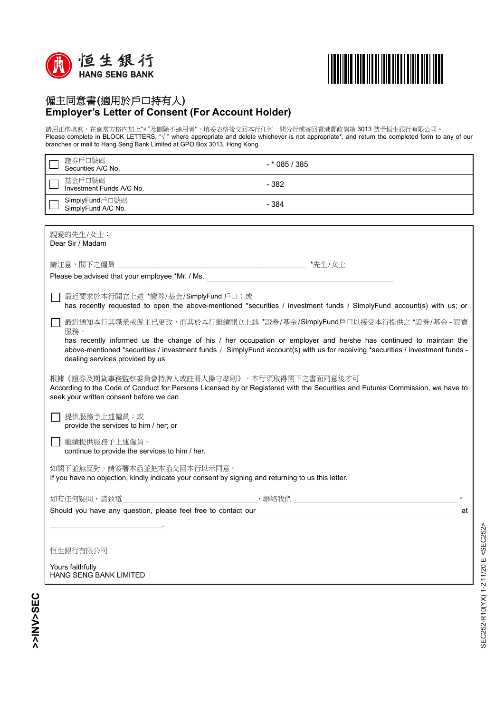



## 僱主同意書(適用於戶口持有人) **Employer's Letter of Consent (For Account Holder)**

請用正楷填寫,在適當方格內加上"√ "及刪除不適用者\*,填妥表格後交回本行任何一間分行或寄回香港郵政信箱 3013 號予恒生銀行有限公司。 Please complete in BLOCK LETTERS, "√ " where appropriate and delete whichever is not appropriate\*, and return the completed form to any of our branches or mail to Hang Seng Bank Limited at GPO Box 3013, Hong Kong.

| 證券戶口號碼<br>Securities A/C No.                                                                                                                                                                                                                                                                | $-*085/385$                                                         |  |
|---------------------------------------------------------------------------------------------------------------------------------------------------------------------------------------------------------------------------------------------------------------------------------------------|---------------------------------------------------------------------|--|
| 基金戶口號碼<br>Investment Funds A/C No.                                                                                                                                                                                                                                                          | $-382$                                                              |  |
| SimplyFund戶口號碼<br>SimplyFund A/C No.                                                                                                                                                                                                                                                        | $-384$                                                              |  |
|                                                                                                                                                                                                                                                                                             |                                                                     |  |
| 親愛的先生/女士:<br>Dear Sir / Madam                                                                                                                                                                                                                                                               |                                                                     |  |
|                                                                                                                                                                                                                                                                                             | *先生/女士                                                              |  |
| Please be advised that your employee *Mr. / Ms.                                                                                                                                                                                                                                             |                                                                     |  |
| 最近要求於本行開立上述 *證券/基金/SimplyFund 戶口;或<br>has recently requested to open the above-mentioned *securities / investment funds / SimplyFund account(s) with us; or                                                                                                                                 |                                                                     |  |
|                                                                                                                                                                                                                                                                                             | 最近通知本行其職業或僱主已更改,而其於本行繼續開立上述 *證券/基金/SimplyFund戶口以接受本行提供之 *證券/基金 - 買賣 |  |
| 服務。<br>has recently informed us the change of his / her occupation or employer and he/she has continued to maintain the<br>above-mentioned *securities / investment funds / SimplyFund account(s) with us for receiving *securities / investment funds -<br>dealing services provided by us |                                                                     |  |
| 根據《證券及期貨事務監察委員會持牌人或註冊人操守準則》,本行須取得閣下之書面同意後才可<br>According to the Code of Conduct for Persons Licensed by or Registered with the Securities and Futures Commission, we have to<br>seek your written consent before we can                                                                     |                                                                     |  |
| 提供服務予上述僱員;或<br>provide the services to him / her; or                                                                                                                                                                                                                                        |                                                                     |  |
| 繼續提供服務予上述僱員。<br>continue to provide the services to him / her.                                                                                                                                                                                                                              |                                                                     |  |
| 如閣下並無反對,請簽署本函並把本函交回本行以示同意。<br>If you have no objection, kindly indicate your consent by signing and returning to us this letter.                                                                                                                                                            |                                                                     |  |
| 如有任何疑問,請致電                                                                                                                                                                                                                                                                                  |                                                                     |  |
| Should you have any question, please feel free to contact our<br>at                                                                                                                                                                                                                         |                                                                     |  |
|                                                                                                                                                                                                                                                                                             |                                                                     |  |
| 恒生銀行有限公司                                                                                                                                                                                                                                                                                    |                                                                     |  |
| Yours faithfully<br>HANG SENG BANK LIMITED                                                                                                                                                                                                                                                  |                                                                     |  |